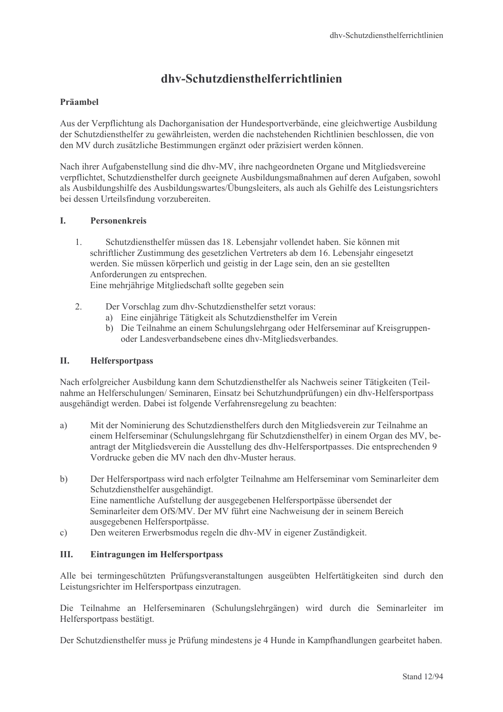# dhy-Schutzdiensthelferrichtlinien

# Präamhel

Aus der Verpflichtung als Dachorganisation der Hundesportverbände, eine gleichwertige Ausbildung der Schutzdiensthelfer zu gewährleisten, werden die nachstehenden Richtlinien beschlossen, die von den MV durch zusätzliche Bestimmungen ergänzt oder präzisiert werden können.

Nach ihrer Aufgabenstellung sind die dhv-MV, ihre nachgeordneten Organe und Mitgliedsvereine verpflichtet, Schutzdiensthelfer durch geeignete Ausbildungsmaßnahmen auf deren Aufgaben, sowohl als Ausbildungshilfe des Ausbildungswartes/Übungsleiters, als auch als Gehilfe des Leistungsrichters bei dessen Urteilsfindung vorzubereiten.

# $\mathbf{L}$ Personenkreis

 $1.$ Schutzdiensthelfer müssen das 18. Lebensjahr vollendet haben. Sie können mit schriftlicher Zustimmung des gesetzlichen Vertreters ab dem 16. Lebensjahr eingesetzt werden. Sie müssen körperlich und geistig in der Lage sein, den an sie gestellten Anforderungen zu entsprechen.

Eine mehrjährige Mitgliedschaft sollte gegeben sein

- $\mathcal{D}$ Der Vorschlag zum dhv-Schutzdiensthelfer setzt voraus:
	- a) Eine einjährige Tätigkeit als Schutzdiensthelfer im Verein
	- b) Die Teilnahme an einem Schulungslehrgang oder Helferseminar auf Kreisgruppenoder Landesverbandsebene eines dhv-Mitgliedsverbandes.

# **II. Helfersportpass**

Nach erfolgreicher Ausbildung kann dem Schutzdiensthelfer als Nachweis seiner Tätigkeiten (Teilnahme an Helferschulungen/ Seminaren, Einsatz bei Schutzhundprüfungen) ein dhv-Helfersportpass ausgehändigt werden. Dabei ist folgende Verfahrensregelung zu beachten:

- $a)$ Mit der Nominierung des Schutzdiensthelfers durch den Mitgliedsverein zur Teilnahme an einem Helferseminar (Schulungslehrgang für Schutzdiensthelfer) in einem Organ des MV, beantragt der Mitgliedsverein die Ausstellung des dhv-Helfersportpasses. Die entsprechenden 9 Vordrucke geben die MV nach den dhv-Muster heraus.
- $\mathbf{b}$ Der Helfersportpass wird nach erfolgter Teilnahme am Helferseminar vom Seminarleiter dem Schutzdiensthelfer ausgehändigt. Eine namentliche Aufstellung der ausgegebenen Helfersportpässe übersendet der Seminarleiter dem OfS/MV. Der MV führt eine Nachweisung der in seinem Bereich ausgegebenen Helfersportpässe.
- Den weiteren Erwerbsmodus regeln die dhy-MV in eigener Zuständigkeit.  $\mathbf{c})$

# III. Eintragungen im Helfersportpass

Alle bei termingeschützten Prüfungsveranstaltungen ausgeübten Helfertätigkeiten sind durch den Leistungsrichter im Helfersportpass einzutragen.

Die Teilnahme an Helferseminaren (Schulungslehrgängen) wird durch die Seminarleiter im Helfersportpass bestätigt.

Der Schutzdiensthelfer muss je Prüfung mindestens je 4 Hunde in Kampfhandlungen gearbeitet haben.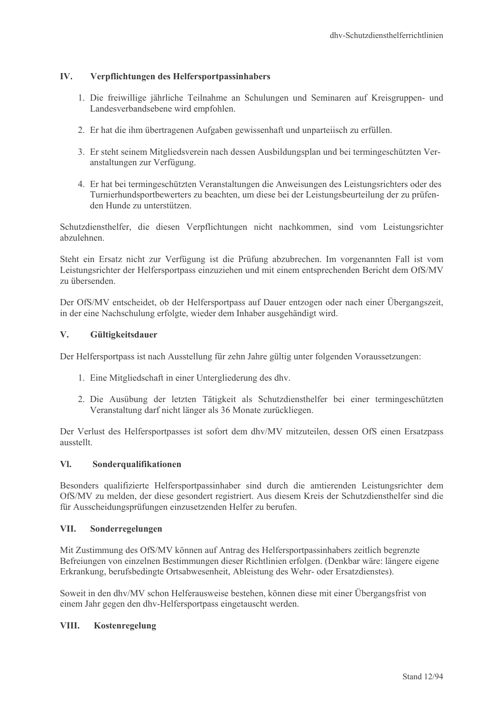# $\mathbf{IV}$ . Verpflichtungen des Helfersportpassinhabers

- 1. Die freiwillige jährliche Teilnahme an Schulungen und Seminaren auf Kreisgruppen- und Landesverbandsebene wird empfohlen.
- 2. Er hat die ihm übertragenen Aufgaben gewissenhaft und unparteijsch zu erfüllen.
- 3. Er steht seinem Mitgliedsverein nach dessen Ausbildungsplan und bei termingeschützten Veranstaltungen zur Verfügung.
- 4. Er hat bei termingeschützten Veranstaltungen die Anweisungen des Leistungsrichters oder des Turnierhundsportbewerters zu beachten, um diese bei der Leistungsbeurteilung der zu prüfenden Hunde zu unterstützen.

Schutzdiensthelfer, die diesen Verpflichtungen nicht nachkommen, sind vom Leistungsrichter abzulehnen

Steht ein Ersatz nicht zur Verfügung ist die Prüfung abzubrechen. Im vorgenannten Fall ist vom Leistungsrichter der Helfersportpass einzuziehen und mit einem entsprechenden Bericht dem OfS/MV zu übersenden

Der OfS/MV entscheidet, ob der Helfersportpass auf Dauer entzogen oder nach einer Übergangszeit, in der eine Nachschulung erfolgte, wieder dem Inhaber ausgehändigt wird.

#### $V_{\star}$ Gültigkeitsdauer

Der Helfersportpass ist nach Ausstellung für zehn Jahre gültig unter folgenden Voraussetzungen:

- 1. Eine Mitgliedschaft in einer Untergliederung des dhv.
- 2. Die Ausübung der letzten Tätigkeit als Schutzdiensthelfer bei einer termingeschützten Veranstaltung darf nicht länger als 36 Monate zurückliegen.

Der Verlust des Helfersportpasses ist sofort dem dhv/MV mitzuteilen, dessen OfS einen Ersatzpass ausstellt

#### $\mathbf{V}$ Sonderqualifikationen

Besonders qualifizierte Helfersportpassinhaber sind durch die amtierenden Leistungsrichter dem OfS/MV zu melden, der diese gesondert registriert. Aus diesem Kreis der Schutzdiensthelfer sind die für Ausscheidungsprüfungen einzusetzenden Helfer zu berufen.

## VII. Sonderregelungen

Mit Zustimmung des OfS/MV können auf Antrag des Helfersportpassinhabers zeitlich begrenzte Befreiungen von einzelnen Bestimmungen dieser Richtlinien erfolgen. (Denkbar wäre: längere eigene Erkrankung, berufsbedingte Ortsabwesenheit, Ableistung des Wehr- oder Ersatzdienstes).

Soweit in den dhv/MV schon Helferausweise bestehen, können diese mit einer Übergangsfrist von einem Jahr gegen den dhv-Helfersportpass eingetauscht werden.

## VIII. Kostenregelung